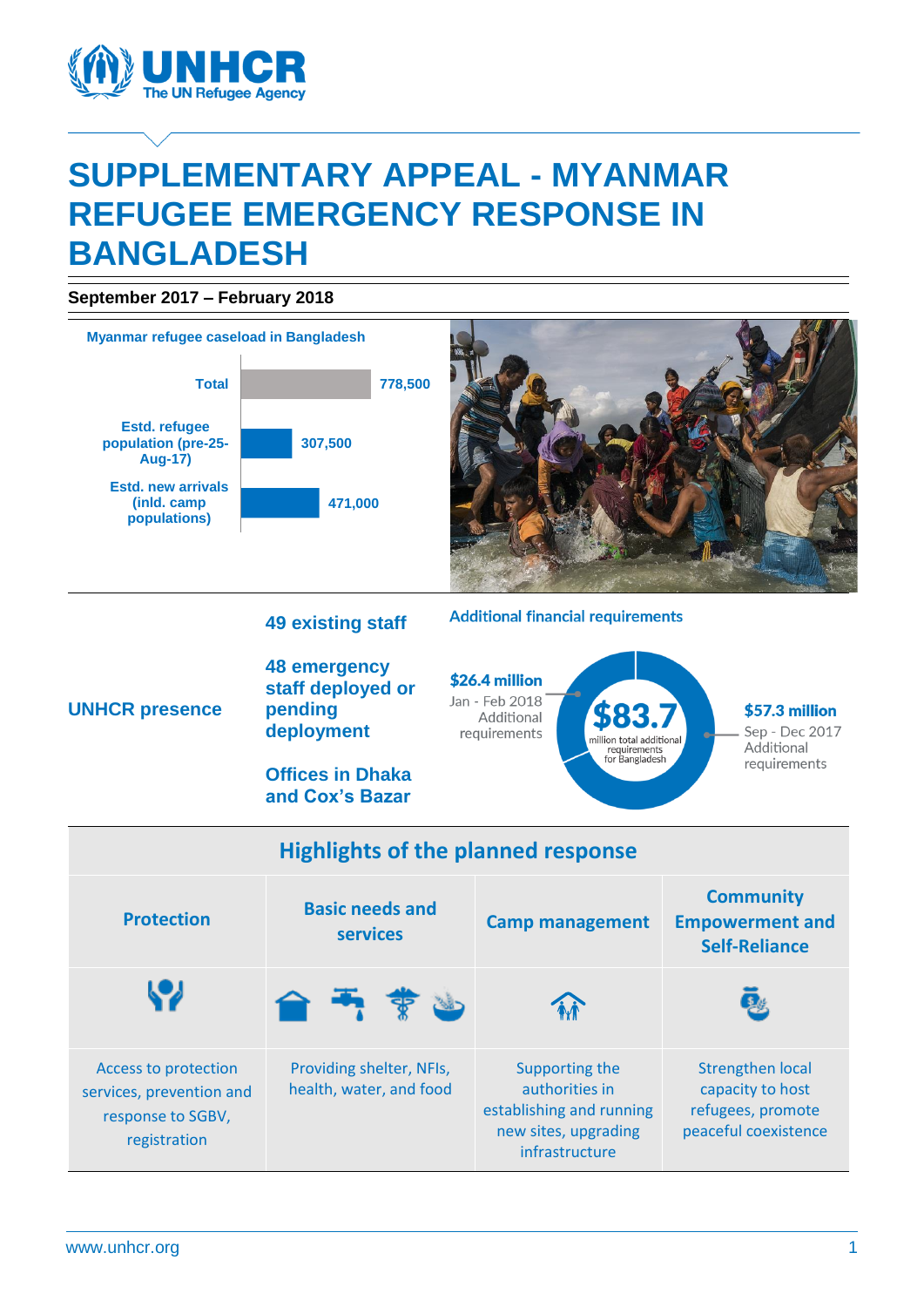

# **SUPPLEMENTARY APPEAL - MYANMAR REFUGEE EMERGENCY RESPONSE IN BANGLADESH**

**September 2017 – February 2018**

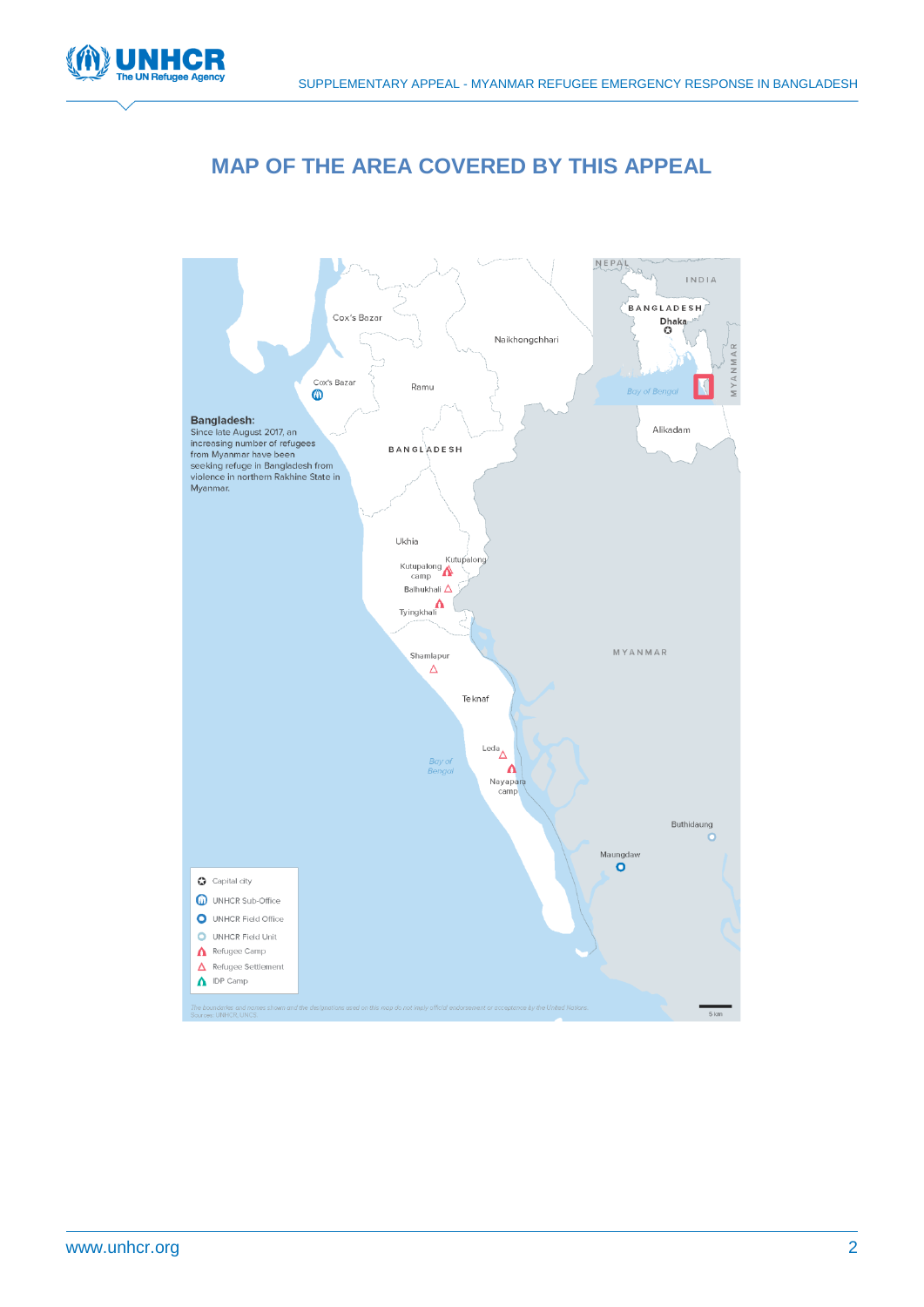

# **MAP OF THE AREA COVERED BY THIS APPEAL**

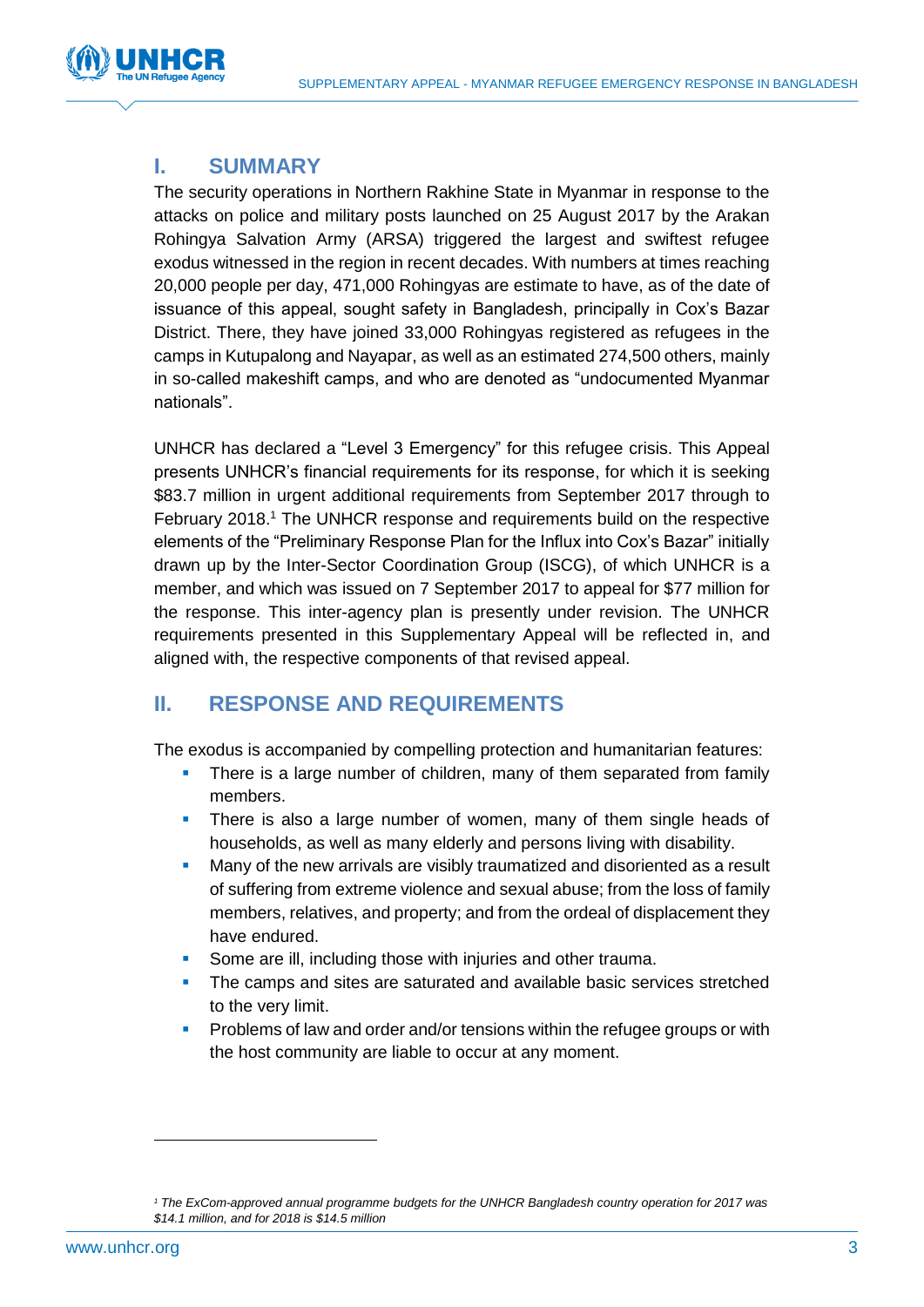

## **I. SUMMARY**

The security operations in Northern Rakhine State in Myanmar in response to the attacks on police and military posts launched on 25 August 2017 by the Arakan Rohingya Salvation Army (ARSA) triggered the largest and swiftest refugee exodus witnessed in the region in recent decades. With numbers at times reaching 20,000 people per day, 471,000 Rohingyas are estimate to have, as of the date of issuance of this appeal, sought safety in Bangladesh, principally in Cox's Bazar District. There, they have joined 33,000 Rohingyas registered as refugees in the camps in Kutupalong and Nayapar, as well as an estimated 274,500 others, mainly in so-called makeshift camps, and who are denoted as "undocumented Myanmar nationals".

UNHCR has declared a "Level 3 Emergency" for this refugee crisis. This Appeal presents UNHCR's financial requirements for its response, for which it is seeking \$83.7 million in urgent additional requirements from September 2017 through to February 2018.<sup>1</sup> The UNHCR response and requirements build on the respective elements of the "Preliminary Response Plan for the Influx into Cox's Bazar" initially drawn up by the Inter-Sector Coordination Group (ISCG), of which UNHCR is a member, and which was issued on 7 September 2017 to appeal for \$77 million for the response. This inter-agency plan is presently under revision. The UNHCR requirements presented in this Supplementary Appeal will be reflected in, and aligned with, the respective components of that revised appeal.

## **II. RESPONSE AND REQUIREMENTS**

The exodus is accompanied by compelling protection and humanitarian features:

- There is a large number of children, many of them separated from family members.
- There is also a large number of women, many of them single heads of households, as well as many elderly and persons living with disability.
- Many of the new arrivals are visibly traumatized and disoriented as a result of suffering from extreme violence and sexual abuse; from the loss of family members, relatives, and property; and from the ordeal of displacement they have endured.
- Some are ill, including those with injuries and other trauma.
- The camps and sites are saturated and available basic services stretched to the very limit.
- Problems of law and order and/or tensions within the refugee groups or with the host community are liable to occur at any moment.

 $\overline{a}$ 

*<sup>1</sup> The ExCom-approved annual programme budgets for the UNHCR Bangladesh country operation for 2017 was \$14.1 million, and for 2018 is \$14.5 million*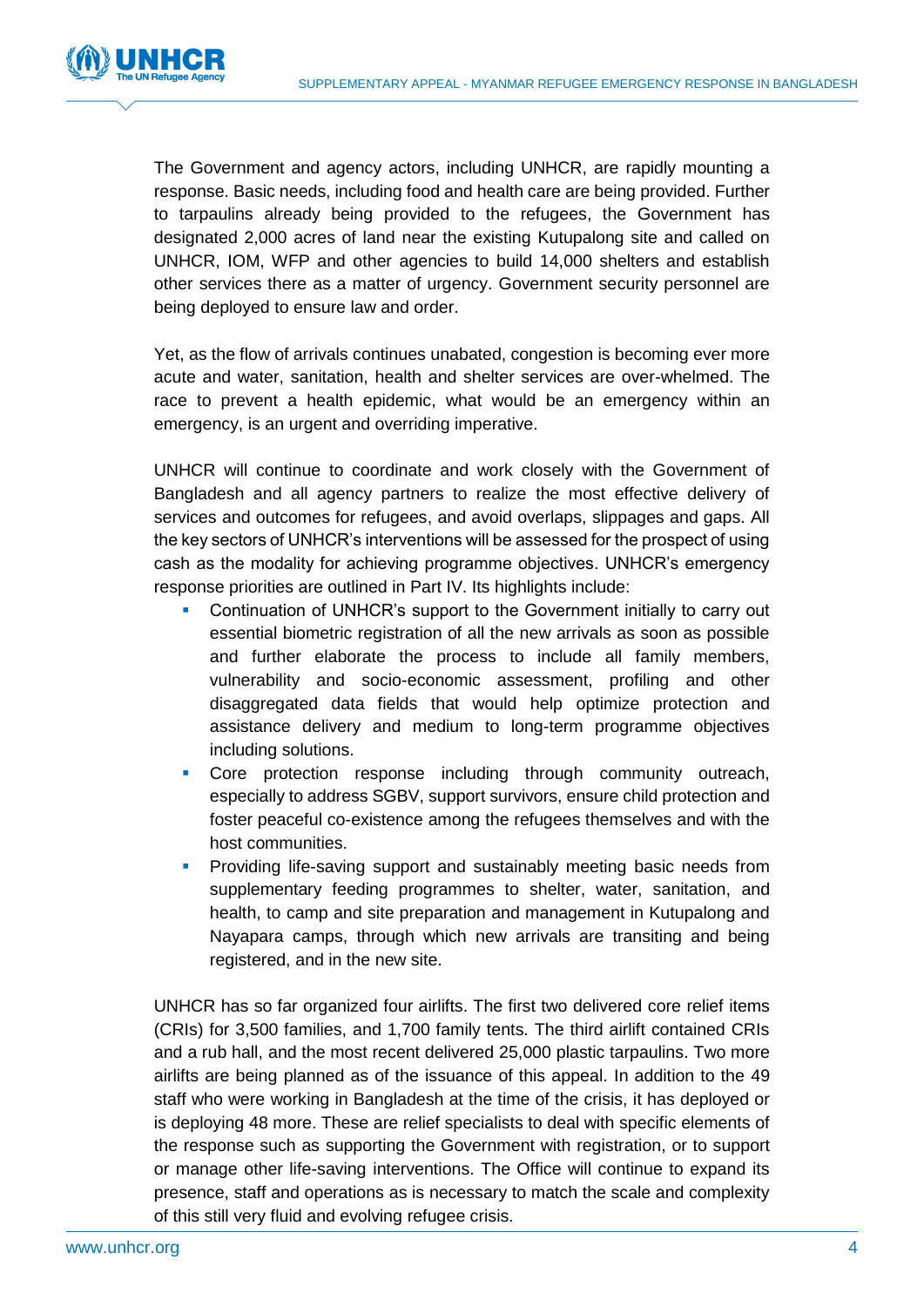

The Government and agency actors, including UNHCR, are rapidly mounting a response. Basic needs, including food and health care are being provided. Further to tarpaulins already being provided to the refugees, the Government has designated 2,000 acres of land near the existing Kutupalong site and called on UNHCR, IOM, WFP and other agencies to build 14,000 shelters and establish other services there as a matter of urgency. Government security personnel are being deployed to ensure law and order.

Yet, as the flow of arrivals continues unabated, congestion is becoming ever more acute and water, sanitation, health and shelter services are over-whelmed. The race to prevent a health epidemic, what would be an emergency within an emergency, is an urgent and overriding imperative.

UNHCR will continue to coordinate and work closely with the Government of Bangladesh and all agency partners to realize the most effective delivery of services and outcomes for refugees, and avoid overlaps, slippages and gaps. All the key sectors of UNHCR's interventions will be assessed for the prospect of using cash as the modality for achieving programme objectives. UNHCR's emergency response priorities are outlined in Part IV. Its highlights include:

- Continuation of UNHCR's support to the Government initially to carry out essential biometric registration of all the new arrivals as soon as possible and further elaborate the process to include all family members, vulnerability and socio-economic assessment, profiling and other disaggregated data fields that would help optimize protection and assistance delivery and medium to long-term programme objectives including solutions.
- **Core protection response including through community outreach,** especially to address SGBV, support survivors, ensure child protection and foster peaceful co-existence among the refugees themselves and with the host communities.
- **Providing life-saving support and sustainably meeting basic needs from** supplementary feeding programmes to shelter, water, sanitation, and health, to camp and site preparation and management in Kutupalong and Nayapara camps, through which new arrivals are transiting and being registered, and in the new site.

UNHCR has so far organized four airlifts. The first two delivered core relief items (CRIs) for 3,500 families, and 1,700 family tents. The third airlift contained CRIs and a rub hall, and the most recent delivered 25,000 plastic tarpaulins. Two more airlifts are being planned as of the issuance of this appeal. In addition to the 49 staff who were working in Bangladesh at the time of the crisis, it has deployed or is deploying 48 more. These are relief specialists to deal with specific elements of the response such as supporting the Government with registration, or to support or manage other life-saving interventions. The Office will continue to expand its presence, staff and operations as is necessary to match the scale and complexity of this still very fluid and evolving refugee crisis.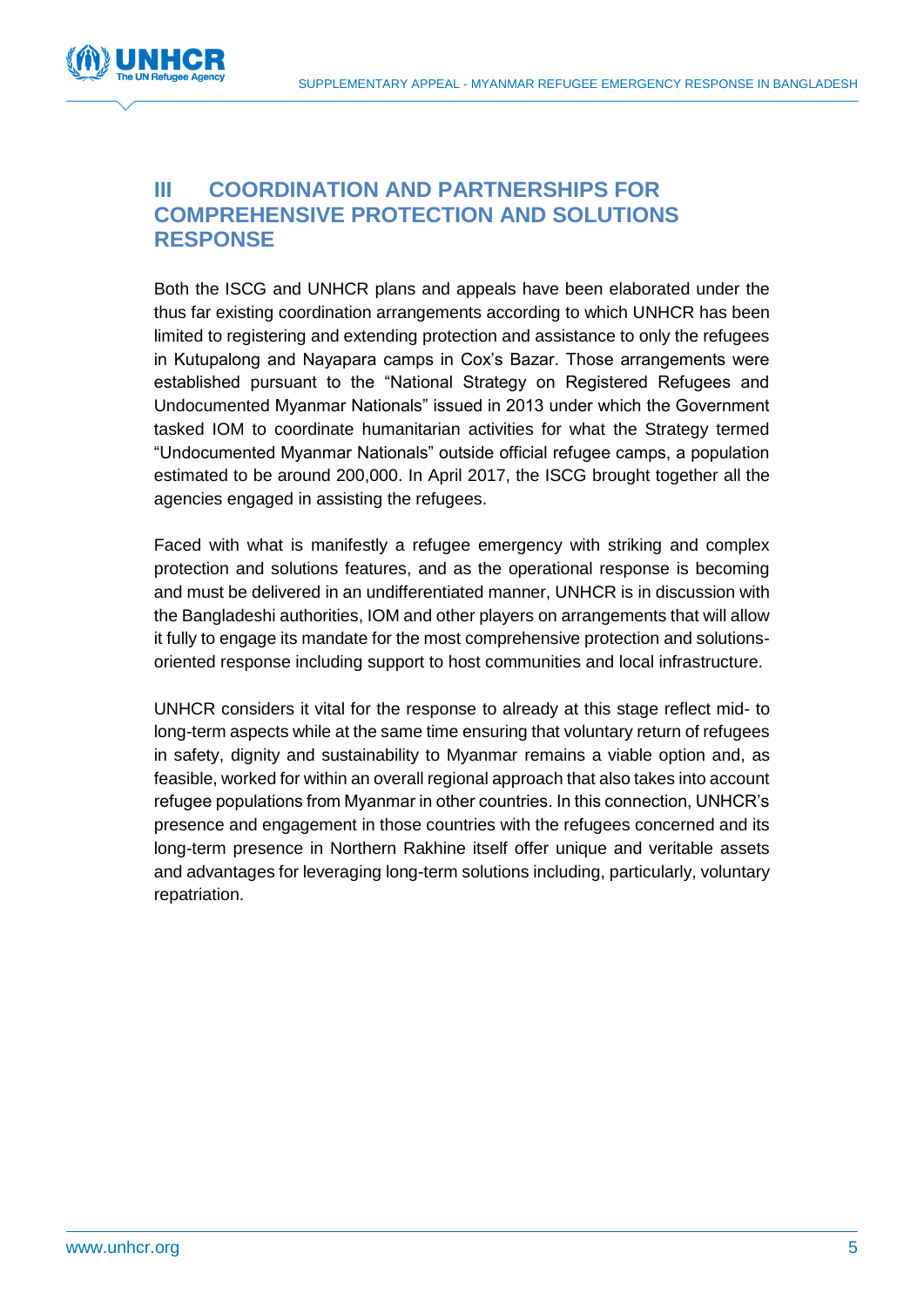

## **III COORDINATION AND PARTNERSHIPS FOR COMPREHENSIVE PROTECTION AND SOLUTIONS RESPONSE**

Both the ISCG and UNHCR plans and appeals have been elaborated under the thus far existing coordination arrangements according to which UNHCR has been limited to registering and extending protection and assistance to only the refugees in Kutupalong and Nayapara camps in Cox's Bazar. Those arrangements were established pursuant to the "National Strategy on Registered Refugees and Undocumented Myanmar Nationals" issued in 2013 under which the Government tasked IOM to coordinate humanitarian activities for what the Strategy termed "Undocumented Myanmar Nationals" outside official refugee camps, a population estimated to be around 200,000. In April 2017, the ISCG brought together all the agencies engaged in assisting the refugees.

Faced with what is manifestly a refugee emergency with striking and complex protection and solutions features, and as the operational response is becoming and must be delivered in an undifferentiated manner, UNHCR is in discussion with the Bangladeshi authorities, IOM and other players on arrangements that will allow it fully to engage its mandate for the most comprehensive protection and solutionsoriented response including support to host communities and local infrastructure.

UNHCR considers it vital for the response to already at this stage reflect mid- to long-term aspects while at the same time ensuring that voluntary return of refugees in safety, dignity and sustainability to Myanmar remains a viable option and, as feasible, worked for within an overall regional approach that also takes into account refugee populations from Myanmar in other countries. In this connection, UNHCR's presence and engagement in those countries with the refugees concerned and its long-term presence in Northern Rakhine itself offer unique and veritable assets and advantages for leveraging long-term solutions including, particularly, voluntary repatriation.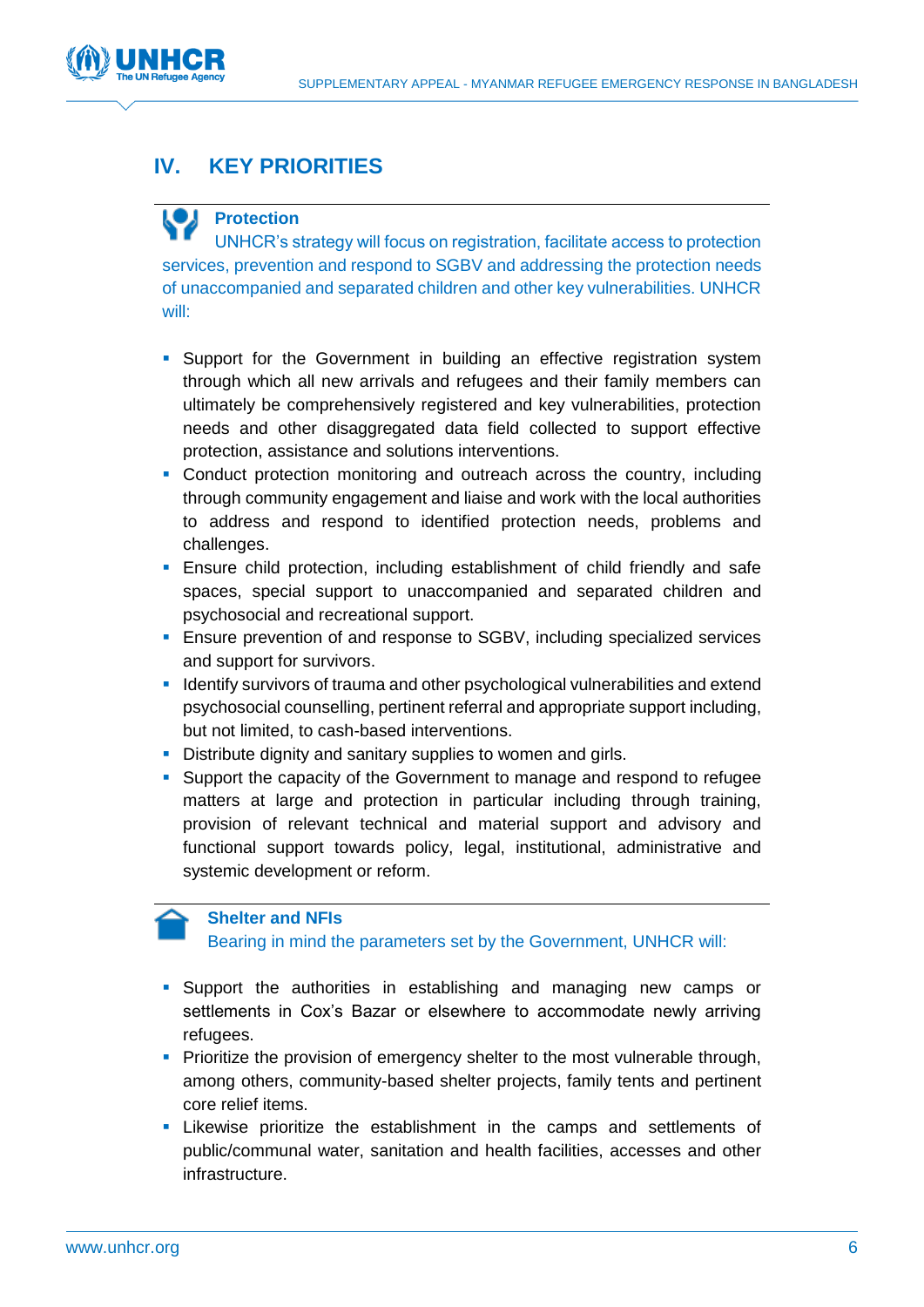

# **IV. KEY PRIORITIES**

# **Protection**

UNHCR's strategy will focus on registration, facilitate access to protection services, prevention and respond to SGBV and addressing the protection needs of unaccompanied and separated children and other key vulnerabilities. UNHCR will:

- **Support for the Government in building an effective registration system** through which all new arrivals and refugees and their family members can ultimately be comprehensively registered and key vulnerabilities, protection needs and other disaggregated data field collected to support effective protection, assistance and solutions interventions.
- Conduct protection monitoring and outreach across the country, including through community engagement and liaise and work with the local authorities to address and respond to identified protection needs, problems and challenges.
- **Ensure child protection, including establishment of child friendly and safe** spaces, special support to unaccompanied and separated children and psychosocial and recreational support.
- Ensure prevention of and response to SGBV, including specialized services and support for survivors.
- **I** Identify survivors of trauma and other psychological vulnerabilities and extend psychosocial counselling, pertinent referral and appropriate support including, but not limited, to cash-based interventions.
- Distribute dignity and sanitary supplies to women and girls.
- Support the capacity of the Government to manage and respond to refugee matters at large and protection in particular including through training, provision of relevant technical and material support and advisory and functional support towards policy, legal, institutional, administrative and systemic development or reform.

### **Shelter and NFIs**

Bearing in mind the parameters set by the Government, UNHCR will:

- Support the authorities in establishing and managing new camps or settlements in Cox's Bazar or elsewhere to accommodate newly arriving refugees.
- **Prioritize the provision of emergency shelter to the most vulnerable through,** among others, community-based shelter projects, family tents and pertinent core relief items.
- Likewise prioritize the establishment in the camps and settlements of public/communal water, sanitation and health facilities, accesses and other infrastructure.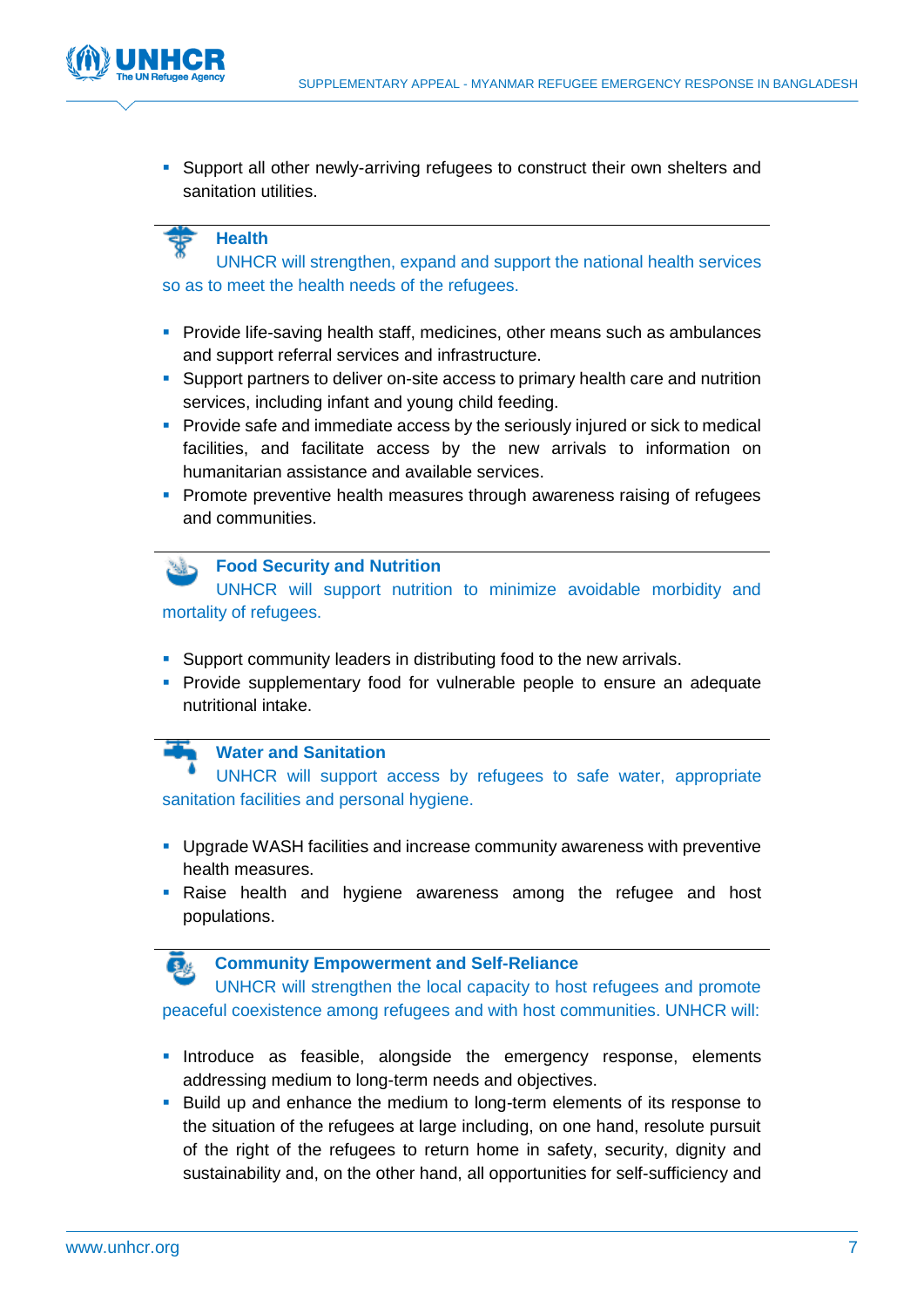

**Support all other newly-arriving refugees to construct their own shelters and** sanitation utilities.

## **Health**

UNHCR will strengthen, expand and support the national health services so as to meet the health needs of the refugees.

- **Provide life-saving health staff, medicines, other means such as ambulances** and support referral services and infrastructure.
- **Support partners to deliver on-site access to primary health care and nutrition** services, including infant and young child feeding.
- **Provide safe and immediate access by the seriously injured or sick to medical** facilities, and facilitate access by the new arrivals to information on humanitarian assistance and available services.
- **Promote preventive health measures through awareness raising of refugees** and communities.

### **Food Security and Nutrition**

UNHCR will support nutrition to minimize avoidable morbidity and mortality of refugees.

- **Support community leaders in distributing food to the new arrivals.**
- **Provide supplementary food for vulnerable people to ensure an adequate** nutritional intake.

## **Water and Sanitation**

UNHCR will support access by refugees to safe water, appropriate sanitation facilities and personal hygiene.

- Upgrade WASH facilities and increase community awareness with preventive health measures.
- **Raise health and hygiene awareness among the refugee and host** populations.



#### **Community Empowerment and Self-Reliance**

UNHCR will strengthen the local capacity to host refugees and promote peaceful coexistence among refugees and with host communities. UNHCR will:

- **Introduce as feasible, alongside the emergency response, elements** addressing medium to long-term needs and objectives.
- **Build up and enhance the medium to long-term elements of its response to** the situation of the refugees at large including, on one hand, resolute pursuit of the right of the refugees to return home in safety, security, dignity and sustainability and, on the other hand, all opportunities for self-sufficiency and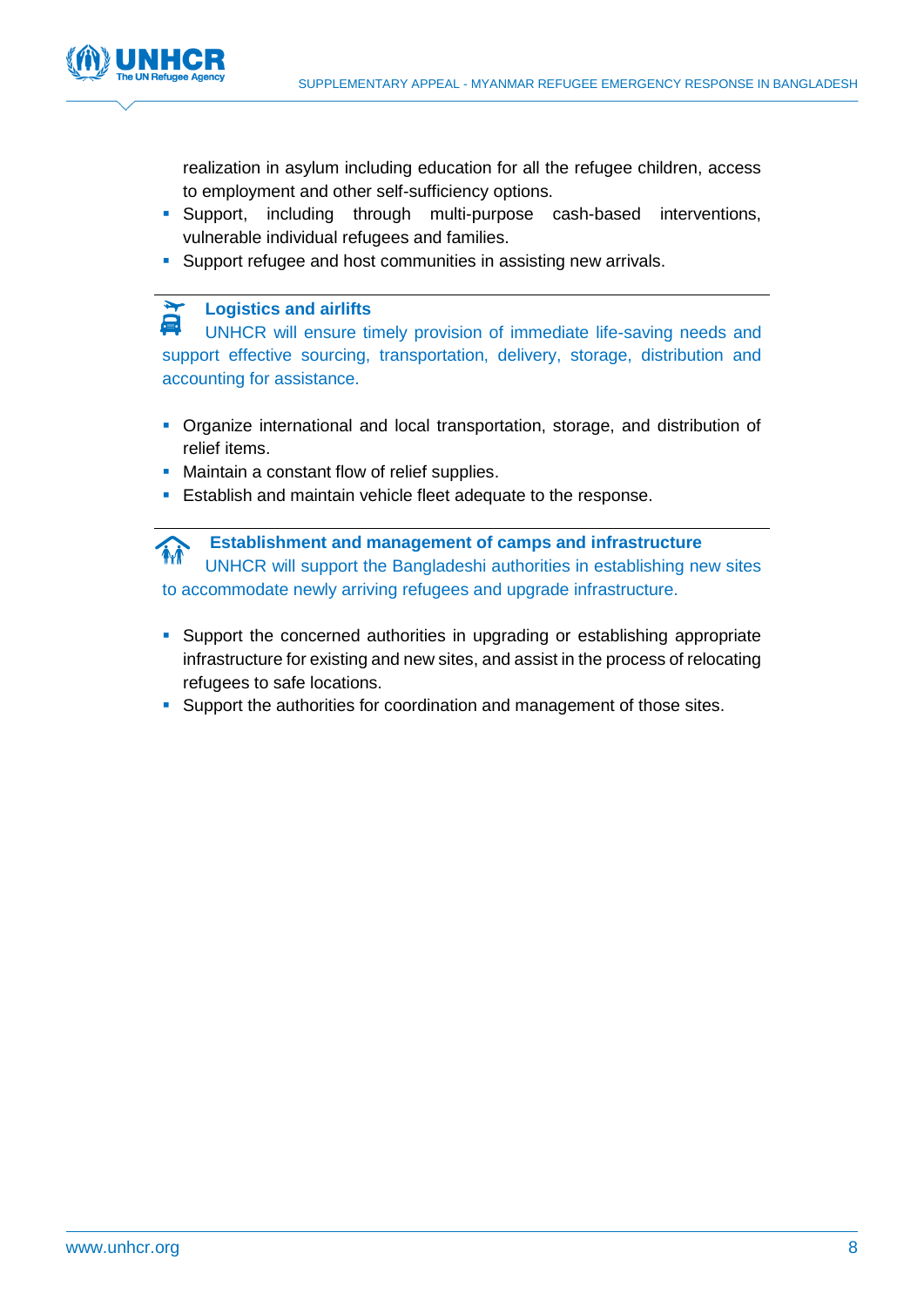

realization in asylum including education for all the refugee children, access to employment and other self-sufficiency options.

- Support, including through multi-purpose cash-based interventions, vulnerable individual refugees and families.
- **Support refugee and host communities in assisting new arrivals.**

## **Logistics and airlifts**

UNHCR will ensure timely provision of immediate life-saving needs and support effective sourcing, transportation, delivery, storage, distribution and accounting for assistance.

- Organize international and local transportation, storage, and distribution of relief items.
- Maintain a constant flow of relief supplies.
- **Establish and maintain vehicle fleet adequate to the response.**

**Establishment and management of camps and infrastructure** M UNHCR will support the Bangladeshi authorities in establishing new sites to accommodate newly arriving refugees and upgrade infrastructure.

- Support the concerned authorities in upgrading or establishing appropriate infrastructure for existing and new sites, and assist in the process of relocating refugees to safe locations.
- Support the authorities for coordination and management of those sites.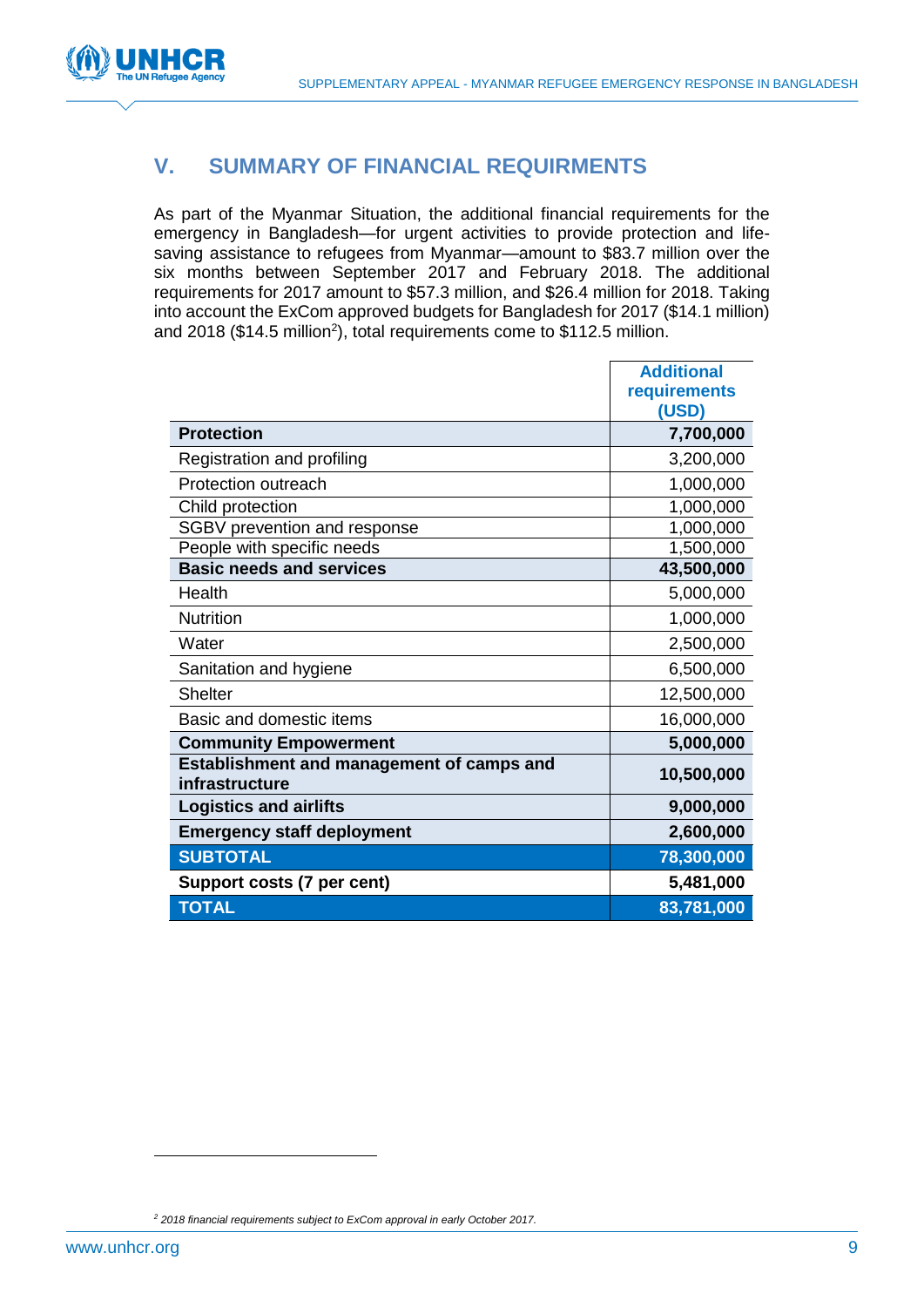

## **V. SUMMARY OF FINANCIAL REQUIRMENTS**

As part of the Myanmar Situation, the additional financial requirements for the emergency in Bangladesh—for urgent activities to provide protection and lifesaving assistance to refugees from Myanmar—amount to \$83.7 million over the six months between September 2017 and February 2018. The additional requirements for 2017 amount to \$57.3 million, and \$26.4 million for 2018. Taking into account the ExCom approved budgets for Bangladesh for 2017 (\$14.1 million) and 2018 (\$14.5 million<sup>2</sup>), total requirements come to \$112.5 million.

|                                                                    | <b>Additional</b> |
|--------------------------------------------------------------------|-------------------|
|                                                                    | requirements      |
|                                                                    | (USD)             |
| <b>Protection</b>                                                  | 7,700,000         |
| Registration and profiling                                         | 3,200,000         |
| <b>Protection outreach</b>                                         | 1,000,000         |
| Child protection                                                   | 1,000,000         |
| SGBV prevention and response                                       | 1,000,000         |
| People with specific needs                                         | 1,500,000         |
| <b>Basic needs and services</b>                                    | 43,500,000        |
| Health                                                             | 5,000,000         |
| <b>Nutrition</b>                                                   | 1,000,000         |
| Water                                                              | 2,500,000         |
| Sanitation and hygiene                                             | 6,500,000         |
| <b>Shelter</b>                                                     | 12,500,000        |
| Basic and domestic items                                           | 16,000,000        |
| <b>Community Empowerment</b>                                       | 5,000,000         |
| <b>Establishment and management of camps and</b><br>infrastructure | 10,500,000        |
| <b>Logistics and airlifts</b>                                      | 9,000,000         |
| <b>Emergency staff deployment</b>                                  | 2,600,000         |
| <b>SUBTOTAL</b>                                                    | 78,300,000        |
| Support costs (7 per cent)                                         | 5,481,000         |
| <b>TOTAL</b>                                                       | 83,781,000        |

*<sup>2</sup> 2018 financial requirements subject to ExCom approval in early October 2017.*